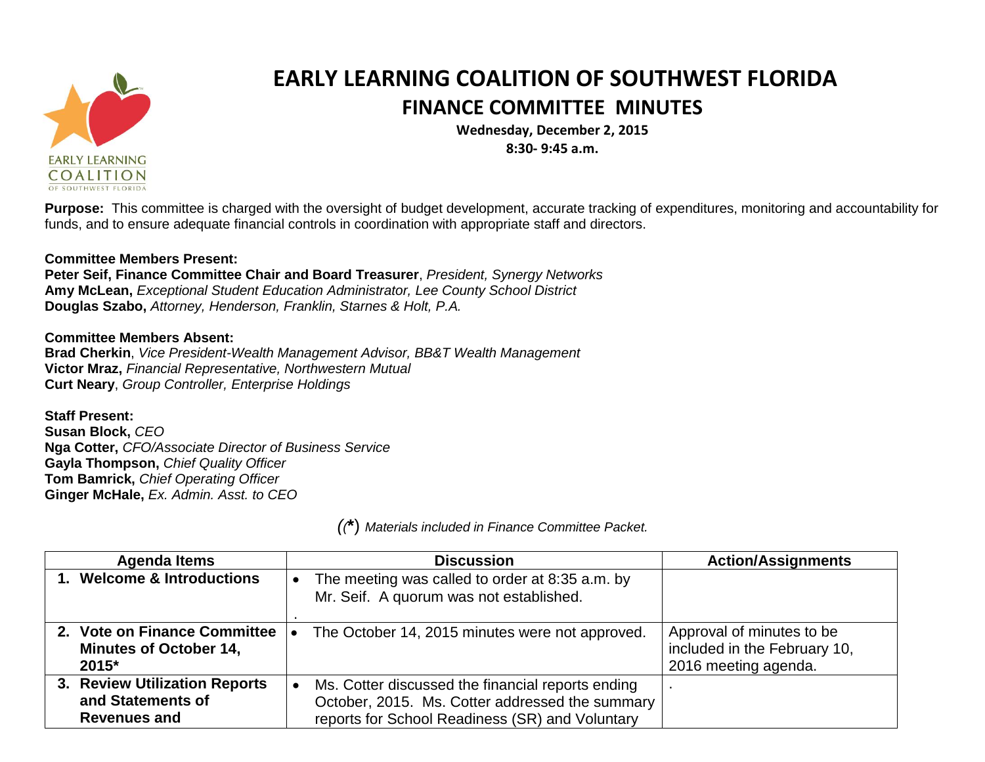

## **EARLY LEARNING COALITION OF SOUTHWEST FLORIDA FINANCE COMMITTEE MINUTES**

**Wednesday, December 2, 2015 8:30- 9:45 a.m.**

**Purpose:** This committee is charged with the oversight of budget development, accurate tracking of expenditures, monitoring and accountability for funds, and to ensure adequate financial controls in coordination with appropriate staff and directors.

## **Committee Members Present:**

**Peter Seif, Finance Committee Chair and Board Treasurer**, *President, Synergy Networks* **Amy McLean,** *Exceptional Student Education Administrator, Lee County School District* **Douglas Szabo,** *Attorney, Henderson, Franklin, Starnes & Holt, P.A.*

## **Committee Members Absent:**

**Brad Cherkin**, *Vice President-Wealth Management Advisor, BB&T Wealth Management* **Victor Mraz,** *Financial Representative, Northwestern Mutual* **Curt Neary**, *Group Controller, Enterprise Holdings*

**Staff Present: Susan Block,** *CEO* **Nga Cotter,** *CFO/Associate Director of Business Service* **Gayla Thompson,** *Chief Quality Officer* **Tom Bamrick,** *Chief Operating Officer* **Ginger McHale,** *Ex. Admin. Asst. to CEO*

*((***\***) *Materials included in Finance Committee Packet.*

| <b>Agenda Items</b>                                                       | <b>Discussion</b>                                                                                                                                       | <b>Action/Assignments</b>                                                         |
|---------------------------------------------------------------------------|---------------------------------------------------------------------------------------------------------------------------------------------------------|-----------------------------------------------------------------------------------|
| 1. Welcome & Introductions                                                | The meeting was called to order at 8:35 a.m. by<br>Mr. Seif. A quorum was not established.                                                              |                                                                                   |
| 2. Vote on Finance Committee<br><b>Minutes of October 14,</b><br>2015*    | The October 14, 2015 minutes were not approved.                                                                                                         | Approval of minutes to be<br>included in the February 10,<br>2016 meeting agenda. |
| 3. Review Utilization Reports<br>and Statements of<br><b>Revenues and</b> | Ms. Cotter discussed the financial reports ending<br>October, 2015. Ms. Cotter addressed the summary<br>reports for School Readiness (SR) and Voluntary |                                                                                   |